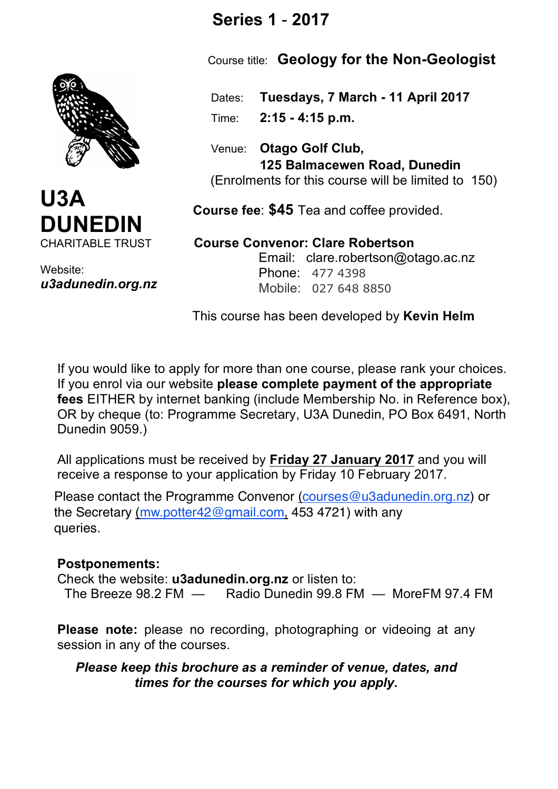

Website: *u3adunedin.org.nz*

## **Series 1** - **2017**

Course title: **Geology for the Non-Geologist**

 Dates: **Tuesdays, 7 March - 11 April 2017** Time: **2:15 - 4:15 p.m.**

 Venue: **Otago Golf Club, 125 Balmacewen Road, Dunedin** (Enrolments for this course will be limited to 150)

 **Course fee**: **\$45** Tea and coffee provided.

 **Course Convenor: Clare Robertson** Email: clare.robertson@otago.ac.nz Phone: 477 4398 Mobile: 027 648 8850

This course has been developed by **Kevin Helm**

If you would like to apply for more than one course, please rank your choices. If you enrol via our website **please complete payment of the appropriate fees** EITHER by internet banking (include Membership No. in Reference box), OR by cheque (to: Programme Secretary, U3A Dunedin, PO Box 6491, North Dunedin 9059.)

All applications must be received by **Friday 27 January 2017** and you will receive a response to your application by Friday 10 February 2017.

Please contact the Programme Convenor <u>(courses@u3adunedin.org.nz</u>) or the Secretary <u>(mw.potter42@gmail.com,</u> 453 4721) with any queries.

## **Postponements:**

Check the website: **u3adunedin.org.nz** or listen to: The Breeze 98.2 FM — Radio Dunedin 99.8 FM — MoreFM 97.4 FM

**Please note:** please no recording, photographing or videoing at any session in any of the courses.

*Please keep this brochure as a reminder of venue, dates, and times for the courses for which you apply.*